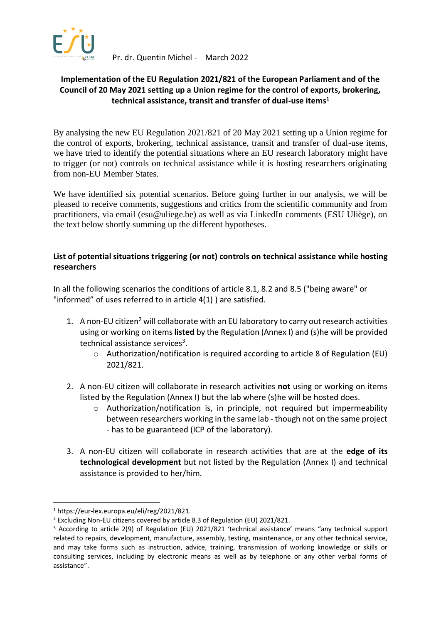

Pr. dr. Quentin Michel - March 2022

## **Implementation of the EU Regulation 2021/821 of the European Parliament and of the Council of 20 May 2021 setting up a Union regime for the control of exports, brokering, technical assistance, transit and transfer of dual-use items<sup>1</sup>**

By analysing the new EU Regulation 2021/821 of 20 May 2021 setting up a Union regime for the control of exports, brokering, technical assistance, transit and transfer of dual-use items, we have tried to identify the potential situations where an EU research laboratory might have to trigger (or not) controls on technical assistance while it is hosting researchers originating from non-EU Member States.

We have identified six potential scenarios. Before going further in our analysis, we will be pleased to receive comments, suggestions and critics from the scientific community and from practitioners, via email (esu@uliege.be) as well as via LinkedIn comments (ESU Uliège), on the text below shortly summing up the different hypotheses.

## **List of potential situations triggering (or not) controls on technical assistance while hosting researchers**

In all the following scenarios the conditions of article 8.1, 8.2 and 8.5 ("being aware" or "informed" of uses referred to in article 4(1) ) are satisfied.

- 1. A non-EU citizen<sup>2</sup> will collaborate with an EU laboratory to carry out research activities using or working on items **listed** by the Regulation (Annex I) and (s)he will be provided technical assistance services<sup>3</sup>.
	- o Authorization/notification is required according to article 8 of Regulation (EU) 2021/821.
- 2. A non-EU citizen will collaborate in research activities **not** using or working on items listed by the Regulation (Annex I) but the lab where (s)he will be hosted does.
	- o Authorization/notification is, in principle, not required but impermeability between researchers working in the same lab - though not on the same project - has to be guaranteed (ICP of the laboratory).
- 3. A non-EU citizen will collaborate in research activities that are at the **edge of its technological development** but not listed by the Regulation (Annex I) and technical assistance is provided to her/him.

<sup>1</sup> https://eur-lex.europa.eu/eli/reg/2021/821.

<sup>2</sup> Excluding Non-EU citizens covered by article 8.3 of Regulation (EU) 2021/821.

<sup>3</sup> According to article 2(9) of Regulation (EU) 2021/821 'technical assistance' means "any technical support related to repairs, development, manufacture, assembly, testing, maintenance, or any other technical service, and may take forms such as instruction, advice, training, transmission of working knowledge or skills or consulting services, including by electronic means as well as by telephone or any other verbal forms of assistance".